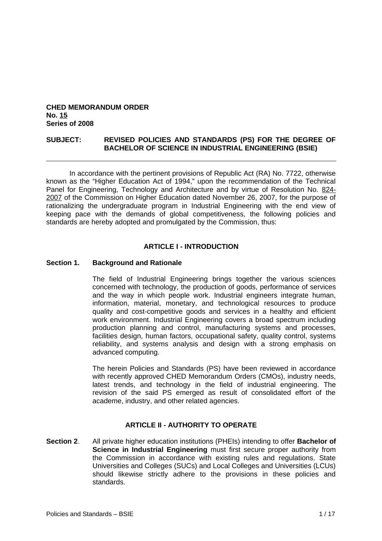### **CHED MEMORANDUM ORDER No. 15 Series of 2008**

### **SUBJECT: REVISED POLICIES AND STANDARDS (PS) FOR THE DEGREE OF BACHELOR OF SCIENCE IN INDUSTRIAL ENGINEERING (BSIE)**

In accordance with the pertinent provisions of Republic Act (RA) No. 7722, otherwise known as the "Higher Education Act of 1994," upon the recommendation of the Technical Panel for Engineering, Technology and Architecture and by virtue of Resolution No. 824- 2007 of the Commission on Higher Education dated November 26, 2007, for the purpose of rationalizing the undergraduate program in Industrial Engineering with the end view of keeping pace with the demands of global competitiveness, the following policies and standards are hereby adopted and promulgated by the Commission, thus:

### **ARTICLE I - INTRODUCTION**

### **Section 1. Background and Rationale**

The field of Industrial Engineering brings together the various sciences concerned with technology, the production of goods, performance of services and the way in which people work. Industrial engineers integrate human, information, material, monetary, and technological resources to produce quality and cost-competitive goods and services in a healthy and efficient work environment. Industrial Engineering covers a broad spectrum including production planning and control, manufacturing systems and processes, facilities design, human factors, occupational safety, quality control, systems reliability, and systems analysis and design with a strong emphasis on advanced computing.

The herein Policies and Standards (PS) have been reviewed in accordance with recently approved CHED Memorandum Orders (CMOs), industry needs, latest trends, and technology in the field of industrial engineering. The revision of the said PS emerged as result of consolidated effort of the academe, industry, and other related agencies.

### **ARTICLE II - AUTHORITY TO OPERATE**

**Section 2**. All private higher education institutions (PHEIs) intending to offer **Bachelor of Science in Industrial Engineering** must first secure proper authority from the Commission in accordance with existing rules and regulations. State Universities and Colleges (SUCs) and Local Colleges and Universities (LCUs) should likewise strictly adhere to the provisions in these policies and standards.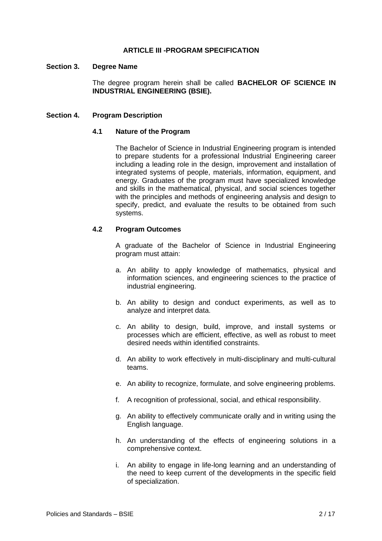### **ARTICLE III -PROGRAM SPECIFICATION**

#### **Section 3. Degree Name**

The degree program herein shall be called **BACHELOR OF SCIENCE IN INDUSTRIAL ENGINEERING (BSIE).**

#### **Section 4. Program Description**

#### **4.1 Nature of the Program**

The Bachelor of Science in Industrial Engineering program is intended to prepare students for a professional Industrial Engineering career including a leading role in the design, improvement and installation of integrated systems of people, materials, information, equipment, and energy. Graduates of the program must have specialized knowledge and skills in the mathematical, physical, and social sciences together with the principles and methods of engineering analysis and design to specify, predict, and evaluate the results to be obtained from such systems.

### **4.2 Program Outcomes**

A graduate of the Bachelor of Science in Industrial Engineering program must attain:

- a. An ability to apply knowledge of mathematics, physical and information sciences, and engineering sciences to the practice of industrial engineering.
- b. An ability to design and conduct experiments, as well as to analyze and interpret data.
- c. An ability to design, build, improve, and install systems or processes which are efficient, effective, as well as robust to meet desired needs within identified constraints.
- d. An ability to work effectively in multi-disciplinary and multi-cultural teams.
- e. An ability to recognize, formulate, and solve engineering problems.
- f. A recognition of professional, social, and ethical responsibility.
- g. An ability to effectively communicate orally and in writing using the English language.
- h. An understanding of the effects of engineering solutions in a comprehensive context.
- i. An ability to engage in life-long learning and an understanding of the need to keep current of the developments in the specific field of specialization.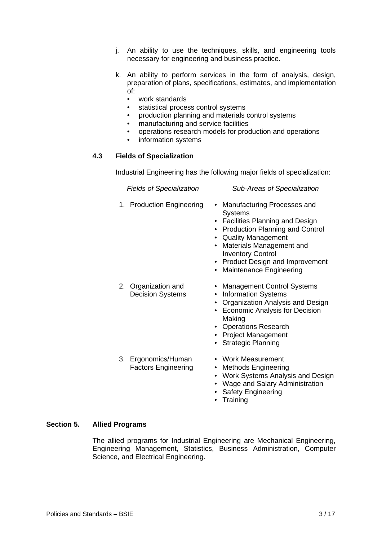- j. An ability to use the techniques, skills, and engineering tools necessary for engineering and business practice.
- k. An ability to perform services in the form of analysis, design, preparation of plans, specifications, estimates, and implementation of:
	- work standards
	- statistical process control systems
	- production planning and materials control systems
	- manufacturing and service facilities
	- operations research models for production and operations
	- information systems

## **4.3 Fields of Specialization**

Industrial Engineering has the following major fields of specialization:

### *Fields of Specialization Sub-Areas of Specialization*

- 
- 1. Production Engineering Manufacturing Processes and **Systems** 
	- Facilities Planning and Design
	- Production Planning and Control
	- Quality Management
	- Materials Management and Inventory Control
	- Product Design and Improvement
	- Maintenance Engineering
	- Management Control Systems
	- Information Systems
	- Organization Analysis and Design
	- Economic Analysis for Decision Making
	- Operations Research
	- Project Management
	- Strategic Planning
- 3. Ergonomics/Human Factors Engineering

2. Organization and Decision Systems

- Work Measurement
- Methods Engineering
- Work Systems Analysis and Design
- Wage and Salary Administration
- Safety Engineering
- Training

## **Section 5. Allied Programs**

The allied programs for Industrial Engineering are Mechanical Engineering, Engineering Management, Statistics, Business Administration, Computer Science, and Electrical Engineering.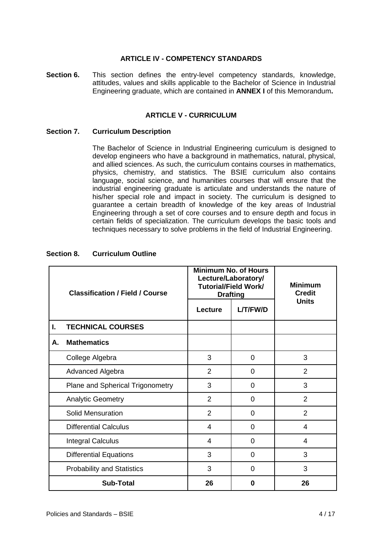### **ARTICLE IV - COMPETENCY STANDARDS**

**Section 6.** This section defines the entry-level competency standards, knowledge, attitudes, values and skills applicable to the Bachelor of Science in Industrial Engineering graduate, which are contained in **ANNEX I** of this Memorandum**.**

### **ARTICLE V - CURRICULUM**

### **Section 7. Curriculum Description**

The Bachelor of Science in Industrial Engineering curriculum is designed to develop engineers who have a background in mathematics, natural, physical, and allied sciences. As such, the curriculum contains courses in mathematics, physics, chemistry, and statistics. The BSIE curriculum also contains language, social science, and humanities courses that will ensure that the industrial engineering graduate is articulate and understands the nature of his/her special role and impact in society. The curriculum is designed to guarantee a certain breadth of knowledge of the key areas of Industrial Engineering through a set of core courses and to ensure depth and focus in certain fields of specialization. The curriculum develops the basic tools and techniques necessary to solve problems in the field of Industrial Engineering.

|    | <b>Classification / Field / Course</b> |                | <b>Minimum No. of Hours</b><br>Lecture/Laboratory/<br><b>Tutorial/Field Work/</b><br><b>Drafting</b> | <b>Minimum</b><br><b>Credit</b> |
|----|----------------------------------------|----------------|------------------------------------------------------------------------------------------------------|---------------------------------|
|    |                                        | Lecture        | L/T/FW/D                                                                                             | <b>Units</b>                    |
| L. | <b>TECHNICAL COURSES</b>               |                |                                                                                                      |                                 |
| Α. | <b>Mathematics</b>                     |                |                                                                                                      |                                 |
|    | College Algebra                        | 3              | $\overline{0}$                                                                                       | 3                               |
|    | Advanced Algebra                       | $\overline{2}$ | 0                                                                                                    | $\overline{2}$                  |
|    | Plane and Spherical Trigonometry       | 3              | 0                                                                                                    | 3                               |
|    | <b>Analytic Geometry</b>               | $\overline{2}$ | 0                                                                                                    | $\overline{2}$                  |
|    | Solid Mensuration                      | $\overline{2}$ | 0                                                                                                    | $\overline{2}$                  |
|    | <b>Differential Calculus</b>           | 4              | 0                                                                                                    | 4                               |
|    | <b>Integral Calculus</b>               | 4              | 0                                                                                                    | 4                               |
|    | <b>Differential Equations</b>          | 3              | 0                                                                                                    | 3                               |
|    | <b>Probability and Statistics</b>      | 3              | 0                                                                                                    | 3                               |
|    | <b>Sub-Total</b>                       | 26             | 0                                                                                                    | 26                              |

### **Section 8. Curriculum Outline**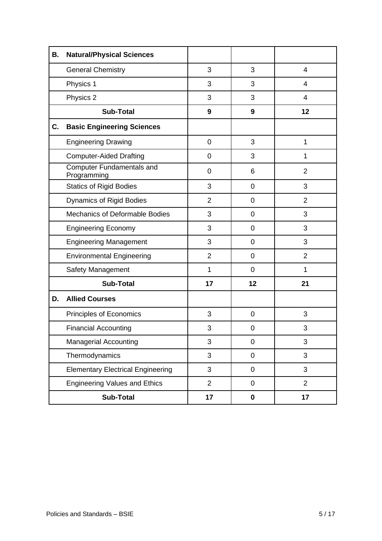| В. | <b>Natural/Physical Sciences</b>                |                |                |                |
|----|-------------------------------------------------|----------------|----------------|----------------|
|    | <b>General Chemistry</b>                        | 3              | 3              | 4              |
|    | Physics 1                                       | 3              | 3              | 4              |
|    | Physics 2                                       | 3              | 3              | 4              |
|    | <b>Sub-Total</b>                                | 9              | 9              | 12             |
| C. | <b>Basic Engineering Sciences</b>               |                |                |                |
|    | <b>Engineering Drawing</b>                      | 0              | 3              | $\mathbf{1}$   |
|    | <b>Computer-Aided Drafting</b>                  | 0              | 3              | $\mathbf 1$    |
|    | <b>Computer Fundamentals and</b><br>Programming | $\mathbf 0$    | 6              | $\overline{2}$ |
|    | <b>Statics of Rigid Bodies</b>                  | 3              | 0              | 3              |
|    | <b>Dynamics of Rigid Bodies</b>                 | $\overline{2}$ | 0              | $\overline{2}$ |
|    | <b>Mechanics of Deformable Bodies</b>           | 3              | 0              | 3              |
|    | <b>Engineering Economy</b>                      | 3              | $\overline{0}$ | 3              |
|    | <b>Engineering Management</b>                   | 3              | 0              | 3              |
|    | <b>Environmental Engineering</b>                | $\overline{2}$ | 0              | $\overline{2}$ |
|    | Safety Management                               | $\mathbf{1}$   | 0              | $\mathbf 1$    |
|    | <b>Sub-Total</b>                                | 17             | 12             | 21             |
| D. | <b>Allied Courses</b>                           |                |                |                |
|    | Principles of Economics                         | 3              | 0              | 3              |
|    | <b>Financial Accounting</b>                     | 3              | 0              | 3              |
|    | <b>Managerial Accounting</b>                    | 3              | 0              | 3              |
|    | Thermodynamics                                  | 3              | 0              | 3              |
|    | <b>Elementary Electrical Engineering</b>        | 3              | 0              | 3              |
|    | <b>Engineering Values and Ethics</b>            | $\overline{2}$ | 0              | $\overline{2}$ |
|    | <b>Sub-Total</b>                                | 17             | 0              | 17             |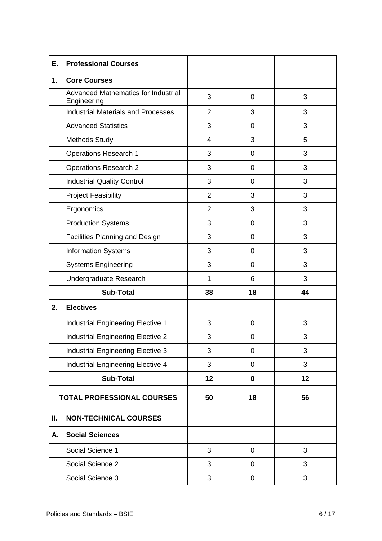| Е. | <b>Professional Courses</b>                               |                |             |    |
|----|-----------------------------------------------------------|----------------|-------------|----|
| 1. | <b>Core Courses</b>                                       |                |             |    |
|    | <b>Advanced Mathematics for Industrial</b><br>Engineering | 3              | $\mathbf 0$ | 3  |
|    | <b>Industrial Materials and Processes</b>                 | $\overline{2}$ | 3           | 3  |
|    | <b>Advanced Statistics</b>                                | 3              | $\mathbf 0$ | 3  |
|    | <b>Methods Study</b>                                      | 4              | 3           | 5  |
|    | <b>Operations Research 1</b>                              | 3              | $\mathbf 0$ | 3  |
|    | <b>Operations Research 2</b>                              | 3              | $\mathbf 0$ | 3  |
|    | <b>Industrial Quality Control</b>                         | 3              | $\mathbf 0$ | 3  |
|    | <b>Project Feasibility</b>                                | $\overline{2}$ | 3           | 3  |
|    | Ergonomics                                                | $\overline{2}$ | 3           | 3  |
|    | <b>Production Systems</b>                                 | 3              | $\mathbf 0$ | 3  |
|    | Facilities Planning and Design                            | 3              | $\mathbf 0$ | 3  |
|    | <b>Information Systems</b>                                | 3              | $\mathbf 0$ | 3  |
|    | <b>Systems Engineering</b>                                | 3              | $\mathbf 0$ | 3  |
|    | Undergraduate Research                                    | $\mathbf{1}$   | 6           | 3  |
|    | <b>Sub-Total</b>                                          | 38             | 18          | 44 |
| 2. | <b>Electives</b>                                          |                |             |    |
|    | Industrial Engineering Elective 1                         | 3              | $\mathbf 0$ | 3  |
|    | Industrial Engineering Elective 2                         | 3              | $\mathbf 0$ | 3  |
|    | <b>Industrial Engineering Elective 3</b>                  | 3              | $\pmb{0}$   | 3  |
|    | Industrial Engineering Elective 4                         | 3              | 0           | 3  |
|    | <b>Sub-Total</b>                                          | 12             | $\mathbf 0$ | 12 |
|    | <b>TOTAL PROFESSIONAL COURSES</b>                         | 50             | 18          | 56 |
| Ш. | <b>NON-TECHNICAL COURSES</b>                              |                |             |    |
| Α. | <b>Social Sciences</b>                                    |                |             |    |
|    | Social Science 1                                          | 3              | $\pmb{0}$   | 3  |
|    | Social Science 2                                          | 3              | $\mathbf 0$ | 3  |
|    | Social Science 3                                          | 3              | 0           | 3  |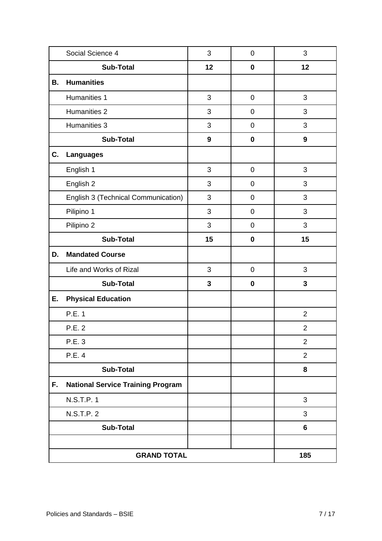|    | Social Science 4                         | 3            | $\pmb{0}$   | 3                |
|----|------------------------------------------|--------------|-------------|------------------|
|    | <b>Sub-Total</b>                         | 12           | $\pmb{0}$   | 12               |
| В. | <b>Humanities</b>                        |              |             |                  |
|    | Humanities 1                             | 3            | $\pmb{0}$   | 3                |
|    | Humanities 2                             | 3            | 0           | 3                |
|    | Humanities 3                             | 3            | $\pmb{0}$   | 3                |
|    | <b>Sub-Total</b>                         | 9            | $\mathbf 0$ | $\boldsymbol{9}$ |
| C. | <b>Languages</b>                         |              |             |                  |
|    | English 1                                | 3            | $\mathbf 0$ | 3                |
|    | English 2                                | 3            | 0           | 3                |
|    | English 3 (Technical Communication)      | 3            | $\mathbf 0$ | 3                |
|    | Pilipino 1                               | 3            | $\mathbf 0$ | 3                |
|    | Pilipino 2                               | 3            | $\pmb{0}$   | 3                |
|    | <b>Sub-Total</b>                         | 15           | $\mathbf 0$ | 15               |
| D. | <b>Mandated Course</b>                   |              |             |                  |
|    | Life and Works of Rizal                  | 3            | $\mathbf 0$ | 3                |
|    | <b>Sub-Total</b>                         | $\mathbf{3}$ | $\pmb{0}$   | $\mathbf{3}$     |
| Ε. | <b>Physical Education</b>                |              |             |                  |
|    | P.E. 1                                   |              |             | $\overline{2}$   |
|    | P.E. 2                                   |              |             | $\overline{c}$   |
|    | P.E. 3                                   |              |             | $\overline{2}$   |
|    | P.E. 4                                   |              |             | $\overline{2}$   |
|    | <b>Sub-Total</b>                         |              |             | 8                |
| F. | <b>National Service Training Program</b> |              |             |                  |
|    | N.S.T.P. 1                               |              |             | 3                |
|    | N.S.T.P. 2                               |              |             | 3                |
|    | <b>Sub-Total</b>                         |              |             | 6                |
|    |                                          |              |             |                  |
|    | <b>GRAND TOTAL</b>                       | 185          |             |                  |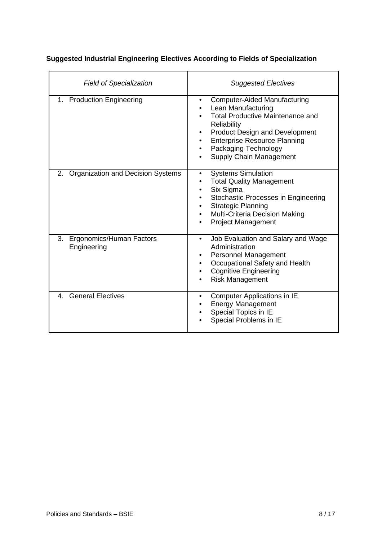| <b>Field of Specialization</b>                | <b>Suggested Electives</b>                                                                                                                                                                                                                                          |
|-----------------------------------------------|---------------------------------------------------------------------------------------------------------------------------------------------------------------------------------------------------------------------------------------------------------------------|
| 1. Production Engineering                     | <b>Computer-Aided Manufacturing</b><br>Lean Manufacturing<br><b>Total Productive Maintenance and</b><br>Reliability<br><b>Product Design and Development</b><br><b>Enterprise Resource Planning</b><br>Packaging Technology<br>$\bullet$<br>Supply Chain Management |
| 2. Organization and Decision Systems          | <b>Systems Simulation</b><br><b>Total Quality Management</b><br>Six Sigma<br>$\bullet$<br>Stochastic Processes in Engineering<br><b>Strategic Planning</b><br>Multi-Criteria Decision Making<br><b>Project Management</b>                                           |
| Ergonomics/Human Factors<br>3.<br>Engineering | Job Evaluation and Salary and Wage<br>$\bullet$<br>Administration<br>Personnel Management<br>Occupational Safety and Health<br><b>Cognitive Engineering</b><br><b>Risk Management</b>                                                                               |
| 4. General Electives                          | Computer Applications in IE<br>$\bullet$<br>Energy Management<br>Special Topics in IE<br>Special Problems in IE                                                                                                                                                     |

# **Suggested Industrial Engineering Electives According to Fields of Specialization**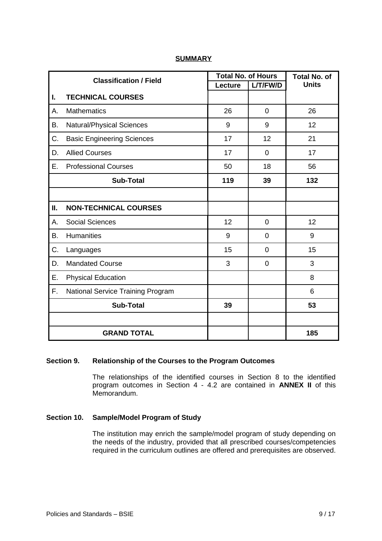|    | <b>Classification / Field</b>     | <b>Total No. of Hours</b> |                | <b>Total No. of</b> |
|----|-----------------------------------|---------------------------|----------------|---------------------|
|    |                                   | <b>Lecture</b>            | L/T/FW/D       | <b>Units</b>        |
| I. | <b>TECHNICAL COURSES</b>          |                           |                |                     |
| Α. | <b>Mathematics</b>                | 26                        | $\overline{0}$ | 26                  |
| Β. | <b>Natural/Physical Sciences</b>  | 9                         | 9              | 12                  |
| C. | <b>Basic Engineering Sciences</b> | 17                        | 12             | 21                  |
| D. | <b>Allied Courses</b>             | 17                        | 0              | 17                  |
| Ε. | <b>Professional Courses</b>       | 50                        | 18             | 56                  |
|    | <b>Sub-Total</b>                  | 119                       | 39             | 132                 |
|    |                                   |                           |                |                     |
| Ш. | <b>NON-TECHNICAL COURSES</b>      |                           |                |                     |
| А. | <b>Social Sciences</b>            | 12                        | $\overline{0}$ | 12                  |
| Β. | <b>Humanities</b>                 | 9                         | 0              | 9                   |
| C. | Languages                         | 15                        | 0              | 15                  |
| D. | <b>Mandated Course</b>            | 3                         | 0              | 3                   |
| Ε. | <b>Physical Education</b>         |                           |                | 8                   |
| F. | National Service Training Program |                           |                | $6\phantom{1}$      |
|    | <b>Sub-Total</b>                  | 39                        |                | 53                  |
|    |                                   |                           |                |                     |
|    | <b>GRAND TOTAL</b>                |                           |                | 185                 |

## **SUMMARY**

## **Section 9. Relationship of the Courses to the Program Outcomes**

The relationships of the identified courses in Section 8 to the identified program outcomes in Section 4 - 4.2 are contained in **ANNEX II** of this Memorandum.

# **Section 10. Sample/Model Program of Study**

The institution may enrich the sample/model program of study depending on the needs of the industry, provided that all prescribed courses/competencies required in the curriculum outlines are offered and prerequisites are observed.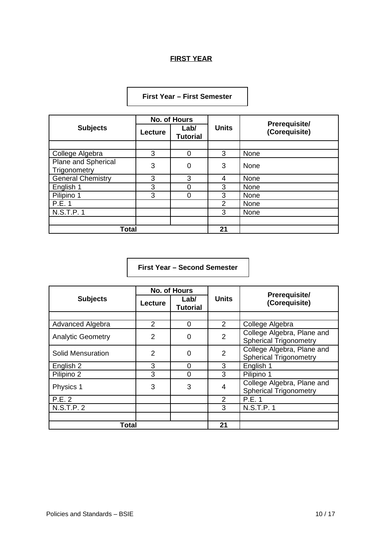# **FIRST YEAR**

# **First Year – First Semester**

|                                     | <b>No. of Hours</b> |                         |              |                                       |  |
|-------------------------------------|---------------------|-------------------------|--------------|---------------------------------------|--|
| <b>Subjects</b>                     | Lecture             | Lab/<br><b>Tutorial</b> | <b>Units</b> | <b>Prerequisite/</b><br>(Corequisite) |  |
|                                     |                     |                         |              |                                       |  |
| College Algebra                     | 3                   | 0                       | 3            | None                                  |  |
| Plane and Spherical<br>Trigonometry | 3                   | 0                       | 3            | None                                  |  |
| <b>General Chemistry</b>            | 3                   | 3                       | 4            | None                                  |  |
| English 1                           | 3                   | 0                       | 3            | None                                  |  |
| Pilipino 1                          | 3                   | 0                       | 3            | None                                  |  |
| P.E.1                               |                     |                         | 2            | None                                  |  |
| N.S.T.P. 1                          |                     |                         | 3            | None                                  |  |
|                                     |                     |                         |              |                                       |  |
| <b>Total</b>                        |                     |                         | 21           |                                       |  |

**First Year – Second Semester**

|                          | <b>No. of Hours</b> |                         |                | <b>Prerequisite/</b>                                        |
|--------------------------|---------------------|-------------------------|----------------|-------------------------------------------------------------|
| <b>Subjects</b>          | Lecture             | Labl<br><b>Tutorial</b> | <b>Units</b>   | (Corequisite)                                               |
|                          |                     |                         |                |                                                             |
| Advanced Algebra         | 2                   | $\Omega$                | $\overline{2}$ | College Algebra                                             |
| <b>Analytic Geometry</b> | $\overline{2}$      | 0                       | 2              | College Algebra, Plane and<br><b>Spherical Trigonometry</b> |
| Solid Mensuration        | $\mathcal{P}$       | 0                       | $\overline{2}$ | College Algebra, Plane and<br><b>Spherical Trigonometry</b> |
| English 2                | 3                   | 0                       | 3              | English 1                                                   |
| Pilipino 2               | 3                   | 0                       | 3              | Pilipino 1                                                  |
| Physics 1                | 3                   | 3                       | 4              | College Algebra, Plane and<br><b>Spherical Trigonometry</b> |
| P.E. 2                   |                     |                         | $\mathfrak{p}$ | P.E.1                                                       |
| <b>N.S.T.P. 2</b>        |                     |                         | 3              | N.S.T.P.1                                                   |
|                          |                     |                         |                |                                                             |
| Total                    |                     |                         | 21             |                                                             |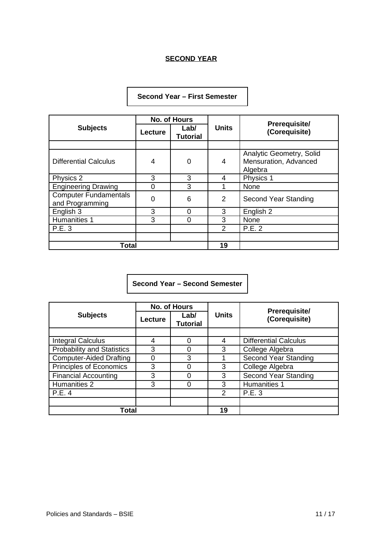# **SECOND YEAR**

# **Second Year – First Semester**

|                                                 | <b>No. of Hours</b> |                         |               | <b>Prerequisite/</b>                                         |
|-------------------------------------------------|---------------------|-------------------------|---------------|--------------------------------------------------------------|
| <b>Subjects</b>                                 | Lecture             | Lab/<br><b>Tutorial</b> | <b>Units</b>  | (Corequisite)                                                |
|                                                 |                     |                         |               |                                                              |
| <b>Differential Calculus</b>                    | $\overline{4}$      | 0                       | 4             | Analytic Geometry, Solid<br>Mensuration, Advanced<br>Algebra |
| Physics 2                                       | 3                   | 3                       | 4             | Physics 1                                                    |
| <b>Engineering Drawing</b>                      | $\Omega$            | 3                       |               | None                                                         |
| <b>Computer Fundamentals</b><br>and Programming | $\Omega$            | 6                       | 2             | Second Year Standing                                         |
| English 3                                       | 3                   | 0                       | 3             | English 2                                                    |
| Humanities 1                                    | 3                   | 0                       | 3             | None                                                         |
| P.E. 3                                          |                     |                         | $\mathcal{P}$ | P.E. 2                                                       |
|                                                 |                     |                         |               |                                                              |
| Total                                           |                     |                         | 19            |                                                              |

# **Second Year – Second Semester**

|                                   | <b>No. of Hours</b> |                         |               |                                       |
|-----------------------------------|---------------------|-------------------------|---------------|---------------------------------------|
| <b>Subjects</b>                   | Lecture             | Lab/<br><b>Tutorial</b> | <b>Units</b>  | <b>Prerequisite/</b><br>(Corequisite) |
|                                   |                     |                         |               |                                       |
| Integral Calculus                 | 4                   | 0                       | 4             | <b>Differential Calculus</b>          |
| <b>Probability and Statistics</b> | 3                   | 0                       | 3             | College Algebra                       |
| <b>Computer-Aided Drafting</b>    |                     | 3                       |               | Second Year Standing                  |
| Principles of Economics           | 3                   | ი                       | 3             | College Algebra                       |
| <b>Financial Accounting</b>       | 3                   | ი                       | 3             | Second Year Standing                  |
| Humanities 2                      | 3                   | 0                       | 3             | Humanities 1                          |
| P.E.4                             |                     |                         | $\mathcal{P}$ | P.E. 3                                |
|                                   |                     |                         |               |                                       |
| Total                             |                     |                         | 19            |                                       |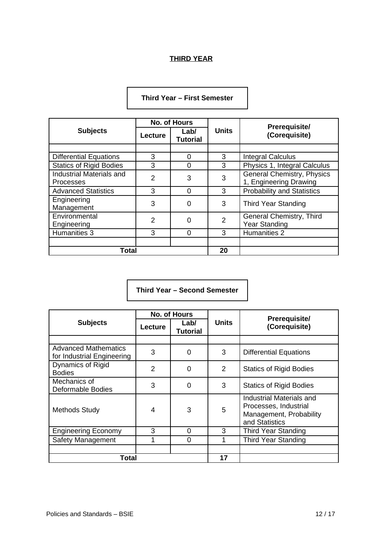# **THIRD YEAR**

|                                                     | <b>No. of Hours</b> |                         |                |                                                             |
|-----------------------------------------------------|---------------------|-------------------------|----------------|-------------------------------------------------------------|
| <b>Subjects</b>                                     | Lecture             | Labl<br><b>Tutorial</b> | <b>Units</b>   | <b>Prerequisite/</b><br>(Corequisite)                       |
|                                                     |                     |                         |                |                                                             |
| <b>Differential Equations</b>                       | 3                   | 0                       | 3              | <b>Integral Calculus</b>                                    |
| <b>Statics of Rigid Bodies</b>                      | 3                   | 0                       | 3              | Physics 1, Integral Calculus                                |
| <b>Industrial Materials and</b><br><b>Processes</b> | $\mathfrak{p}$      | 3                       | 3              | <b>General Chemistry, Physics</b><br>1, Engineering Drawing |
| <b>Advanced Statistics</b>                          | 3                   | $\Omega$                | 3              | <b>Probability and Statistics</b>                           |
| Engineering<br>Management                           | 3                   | 0                       | 3              | Third Year Standing                                         |
| Environmental<br>Engineering                        | $\overline{2}$      | 0                       | $\overline{2}$ | General Chemistry, Third<br><b>Year Standing</b>            |
| Humanities 3                                        | 3                   | $\Omega$                | 3              | Humanities 2                                                |
|                                                     |                     |                         |                |                                                             |
| Total                                               |                     |                         | 20             |                                                             |

# **Third Year – First Semester**

**Third Year – Second Semester**

|                                                           | <b>No. of Hours</b> |                         |               | <b>Prerequisite/</b>                                                                           |  |
|-----------------------------------------------------------|---------------------|-------------------------|---------------|------------------------------------------------------------------------------------------------|--|
| <b>Subjects</b>                                           | Lecture             | Labl<br><b>Tutorial</b> | <b>Units</b>  | (Corequisite)                                                                                  |  |
|                                                           |                     |                         |               |                                                                                                |  |
| <b>Advanced Mathematics</b><br>for Industrial Engineering | 3                   | 0                       | 3             | <b>Differential Equations</b>                                                                  |  |
| Dynamics of Rigid<br><b>Bodies</b>                        | $\mathcal{P}$       | 0                       | $\mathcal{P}$ | <b>Statics of Rigid Bodies</b>                                                                 |  |
| Mechanics of<br>Deformable Bodies                         | 3                   | 0                       | 3             | <b>Statics of Rigid Bodies</b>                                                                 |  |
| <b>Methods Study</b>                                      | 4                   | 3                       | 5             | Industrial Materials and<br>Processes, Industrial<br>Management, Probability<br>and Statistics |  |
| <b>Engineering Economy</b>                                | 3                   | 0                       | 3             | <b>Third Year Standing</b>                                                                     |  |
| Safety Management                                         | 1                   | 0                       | $\mathbf{1}$  | <b>Third Year Standing</b>                                                                     |  |
|                                                           |                     |                         |               |                                                                                                |  |
| Total                                                     |                     |                         | 17            |                                                                                                |  |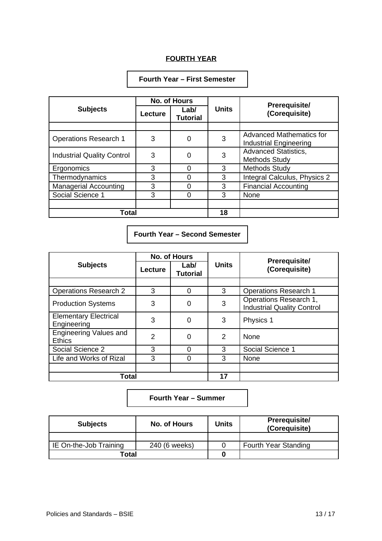## **FOURTH YEAR**

# **Fourth Year – First Semester**

|                                   | <b>No. of Hours</b> |                         |              | <b>Prerequisite/</b>                                      |
|-----------------------------------|---------------------|-------------------------|--------------|-----------------------------------------------------------|
| <b>Subjects</b>                   | <b>Lecture</b>      | Lab/<br><b>Tutorial</b> | <b>Units</b> | (Corequisite)                                             |
|                                   |                     |                         |              |                                                           |
| <b>Operations Research 1</b>      | 3                   | 0                       | 3            | Advanced Mathematics for<br><b>Industrial Engineering</b> |
| <b>Industrial Quality Control</b> | 3                   | 0                       | 3            | <b>Advanced Statistics,</b><br>Methods Study              |
| Ergonomics                        | 3                   | 0                       | 3            | Methods Study                                             |
| Thermodynamics                    | 3                   | ი                       | 3            | Integral Calculus, Physics 2                              |
| <b>Managerial Accounting</b>      | 3                   | ი                       | 3            | <b>Financial Accounting</b>                               |
| Social Science 1                  | 3                   | ი                       | 3            | None                                                      |
|                                   |                     |                         |              |                                                           |
| Total                             |                     |                         | 18           |                                                           |

# **Fourth Year – Second Semester**

| <b>Subjects</b>                             | <b>No. of Hours</b> |                         |              |                                                             |
|---------------------------------------------|---------------------|-------------------------|--------------|-------------------------------------------------------------|
|                                             | <b>Lecture</b>      | Lab/<br><b>Tutorial</b> | <b>Units</b> | <b>Prerequisite/</b><br>(Corequisite)                       |
|                                             |                     |                         |              |                                                             |
| <b>Operations Research 2</b>                | 3                   | $\Omega$                | 3            | <b>Operations Research 1</b>                                |
| <b>Production Systems</b>                   | 3                   | 0                       | 3            | Operations Research 1,<br><b>Industrial Quality Control</b> |
| <b>Elementary Electrical</b><br>Engineering | 3                   | 0                       | 3            | Physics 1                                                   |
| Engineering Values and<br><b>Ethics</b>     | 2                   | 0                       | 2            | None                                                        |
| Social Science 2                            | 3                   | 0                       | 3            | Social Science 1                                            |
| Life and Works of Rizal                     | 3                   | 0                       | 3            | <b>None</b>                                                 |
|                                             |                     |                         |              |                                                             |
| Total                                       |                     |                         | 17           |                                                             |

## **Fourth Year – Summer**

| <b>Subjects</b>        | <b>No. of Hours</b> | <b>Units</b> | <b>Prerequisite/</b><br>(Corequisite) |
|------------------------|---------------------|--------------|---------------------------------------|
|                        |                     |              |                                       |
| IE On-the-Job Training | 240 (6 weeks)       |              | Fourth Year Standing                  |
| Total                  |                     |              |                                       |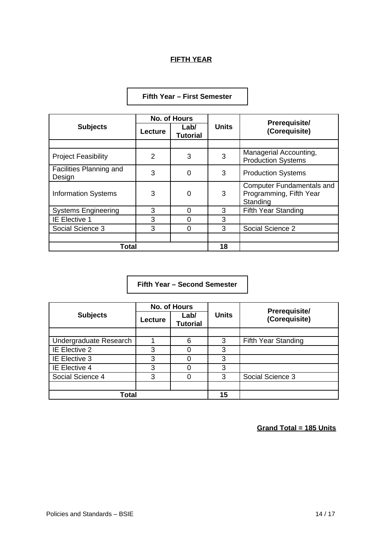# **FIFTH YEAR**

| <b>Subjects</b>                   | <b>No. of Hours</b> |                         |              |                                                                         |
|-----------------------------------|---------------------|-------------------------|--------------|-------------------------------------------------------------------------|
|                                   | <b>Lecture</b>      | Lab/<br><b>Tutorial</b> | <b>Units</b> | <b>Prerequisite/</b><br>(Corequisite)                                   |
|                                   |                     |                         |              |                                                                         |
| <b>Project Feasibility</b>        | 2                   | 3                       | 3            | Managerial Accounting,<br><b>Production Systems</b>                     |
| Facilities Planning and<br>Design | 3                   | 0                       | 3            | <b>Production Systems</b>                                               |
| <b>Information Systems</b>        | 3                   | 0                       | 3            | <b>Computer Fundamentals and</b><br>Programming, Fifth Year<br>Standing |
| <b>Systems Engineering</b>        | 3                   | O                       | 3            | Fifth Year Standing                                                     |
| IE Elective 1                     | 3                   | 0                       | 3            |                                                                         |
| Social Science 3                  | 3                   | 0                       | 3            | Social Science 2                                                        |
|                                   |                     |                         |              |                                                                         |
| Total                             |                     |                         | 18           |                                                                         |

## **Fifth Year – First Semester**

**Fifth Year – Second Semester**

| <b>Subjects</b>        | <b>No. of Hours</b> |                         |              |                                       |
|------------------------|---------------------|-------------------------|--------------|---------------------------------------|
|                        | Lecture             | Lab/<br><b>Tutorial</b> | <b>Units</b> | <b>Prerequisite/</b><br>(Corequisite) |
|                        |                     |                         |              |                                       |
| Undergraduate Research |                     | 6                       | 3            | Fifth Year Standing                   |
| IE Elective 2          | 3                   |                         | 3            |                                       |
| IE Elective 3          | 3                   |                         | 3            |                                       |
| IE Elective 4          | 3                   | ი                       | 3            |                                       |
| Social Science 4       | 3                   |                         | 3            | Social Science 3                      |
|                        |                     |                         |              |                                       |
| <b>Total</b>           |                     |                         | 15           |                                       |

**Grand Total = 185 Units**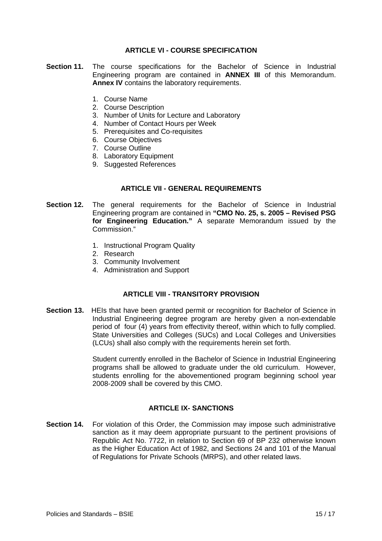### **ARTICLE VI - COURSE SPECIFICATION**

- **Section 11.** The course specifications for the Bachelor of Science in Industrial Engineering program are contained in **ANNEX III** of this Memorandum. **Annex IV** contains the laboratory requirements.
	- 1. Course Name
	- 2. Course Description
	- 3. Number of Units for Lecture and Laboratory
	- 4. Number of Contact Hours per Week
	- 5. Prerequisites and Co-requisites
	- 6. Course Objectives
	- 7. Course Outline
	- 8. Laboratory Equipment
	- 9. Suggested References

### **ARTICLE VII - GENERAL REQUIREMENTS**

- **Section 12.** The general requirements for the Bachelor of Science in Industrial Engineering program are contained in **"CMO No. 25, s. 2005 – Revised PSG for Engineering Education."** A separate Memorandum issued by the Commission."
	- 1. Instructional Program Quality
	- 2. Research
	- 3. Community Involvement
	- 4. Administration and Support

### **ARTICLE VIII - TRANSITORY PROVISION**

**Section 13.** HEIs that have been granted permit or recognition for Bachelor of Science in Industrial Engineering degree program are hereby given a non-extendable period of four (4) years from effectivity thereof, within which to fully complied. State Universities and Colleges (SUCs) and Local Colleges and Universities (LCUs) shall also comply with the requirements herein set forth.

> Student currently enrolled in the Bachelor of Science in Industrial Engineering programs shall be allowed to graduate under the old curriculum. However, students enrolling for the abovementioned program beginning school year 2008-2009 shall be covered by this CMO.

### **ARTICLE IX- SANCTIONS**

**Section 14.** For violation of this Order, the Commission may impose such administrative sanction as it may deem appropriate pursuant to the pertinent provisions of Republic Act No. 7722, in relation to Section 69 of BP 232 otherwise known as the Higher Education Act of 1982, and Sections 24 and 101 of the Manual of Regulations for Private Schools (MRPS), and other related laws.